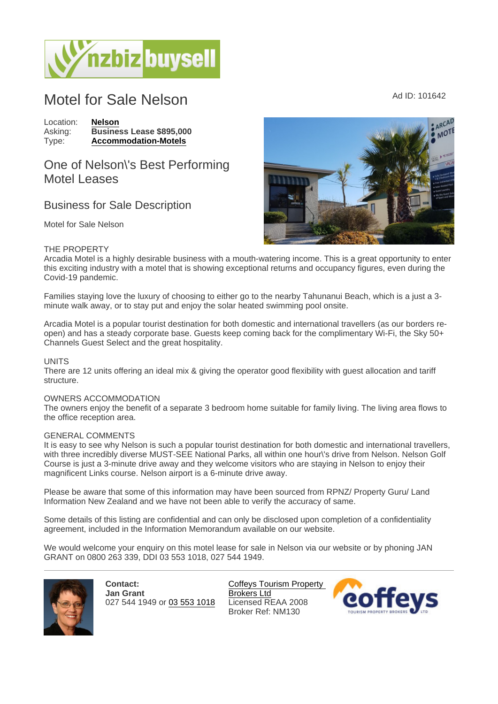# Motel for Sale Nelson Ad ID: 101642

Location: [Nelson](https://www.nzbizbuysell.co.nz/businesses-for-sale/location/Nelson) Asking: Business Lease \$895,000<br>Type: Accommodation-Motels [Accommodation-Motels](https://www.nzbizbuysell.co.nz/businesses-for-sale/Motels/New-Zealand)

## One of Nelson\'s Best Performing Motel Leases

### Business for Sale Description

Motel for Sale Nelson

#### THE PROPERTY

Arcadia Motel is a highly desirable business with a mouth-watering income. This is a great opportunity to enter this exciting industry with a motel that is showing exceptional returns and occupancy figures, even during the Covid-19 pandemic.

Families staying love the luxury of choosing to either go to the nearby Tahunanui Beach, which is a just a 3 minute walk away, or to stay put and enjoy the solar heated swimming pool onsite.

Arcadia Motel is a popular tourist destination for both domestic and international travellers (as our borders reopen) and has a steady corporate base. Guests keep coming back for the complimentary Wi-Fi, the Sky 50+ Channels Guest Select and the great hospitality.

#### UNITS

There are 12 units offering an ideal mix & giving the operator good flexibility with guest allocation and tariff structure.

#### OWNERS ACCOMMODATION

The owners enjoy the benefit of a separate 3 bedroom home suitable for family living. The living area flows to the office reception area.

#### GENERAL COMMENTS

It is easy to see why Nelson is such a popular tourist destination for both domestic and international travellers, with three incredibly diverse MUST-SEE National Parks, all within one hour\'s drive from Nelson. Nelson Golf Course is just a 3-minute drive away and they welcome visitors who are staying in Nelson to enjoy their magnificent Links course. Nelson airport is a 6-minute drive away.

Please be aware that some of this information may have been sourced from RPNZ/ Property Guru/ Land Information New Zealand and we have not been able to verify the accuracy of same.

Some details of this listing are confidential and can only be disclosed upon completion of a confidentiality agreement, included in the Information Memorandum available on our website.

We would welcome your enquiry on this motel lease for sale in Nelson via our website or by phoning JAN GRANT on 0800 263 339, DDI 03 553 1018, 027 544 1949.

> Contact: Jan Grant 027 544 1949 or [03 553 1018](tel:03 553 1018)

[Coffeys Tourism Property](https://www.nzbizbuysell.co.nz/business-brokers/45/coffeys-tourism-property-brokers-ltd/brokerage-listings)  [Brokers Ltd](https://www.nzbizbuysell.co.nz/business-brokers/45/coffeys-tourism-property-brokers-ltd/brokerage-listings) Licensed REAA 2008 Broker Ref: NM130